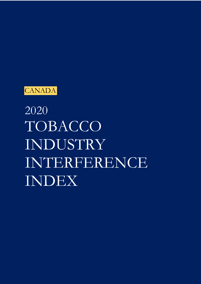

2020 TOBACCO INDUSTRY INTERFERENCE INDEX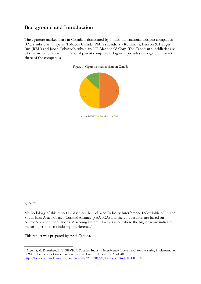# **Background and Introduction**

The cigarette market share in Canada is dominated by 3 main transnational tobacco companies: BAT's subsidiary Imperial Tobacco Canada, PMI's subsidiary - Rothmans, Benson & Hedges Inc. (RBH) and Japan Tobacco's subsidiary JTI-Macdonald Corp. The Canadian subsidiaries are wholly owned by their multinational parent companies. Figure 1 provides the cigarette market share of the companies.





#### **NOTE**

Methodology of this report is based on the Tobacco Industry Interference Index initiated by the South-East Asia Tobacco Control Alliance (SEATCA) and the 20 questions are based on Article 5.3 recommendations. A scoring system  $(0 - 5)$  is used where the higher score indicates the stronger tobacco industry interference.<sup>1</sup>

This report was prepared by ASH Canada.

<sup>1</sup> Assunta, M. Dorotheo, E. U. SEATCA Tobacco Industry Interference Index: a tool for measuring implementation of WHO Framework Convention on Tobacco Control Article 5.3. April 2015 http://tobaccocontrol.bmj.com/content/early/2015/04/23/tobaccocontrol-2014-051934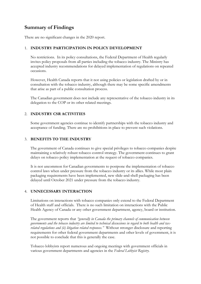# **Summary of Findings**

There are no significant changes in the 2020 report.

### 1. **INDUSTRY PARTICIPATION IN POLICY DEVELOPMENT**

No restrictions. In its policy consultations, the Federal Department of Health regularly invites policy proposals from all parties including the tobacco industry. The Ministry has accepted industry recommendations for delayed implementation of regulations on repeated occasions.

However, Health Canada reports that it not using policies or legislation drafted by or in consultation with the tobacco industry, although there may be some specific amendments that arise as part of a public consultation process.

The Canadian government does not include any representative of the tobacco industry in its delegation to the COP or its other related meetings.

### 2. **INDUSTRY CSR ACTIVITIES**

Some government agencies continue to identify partnerships with the tobacco industry and acceptance of funding. There are no prohibitions in place to prevent such violations.

#### 3. **BENEFITS TO THE INDUSTRY**

The government of Canada continues to give special privileges to tobacco companies despite maintaining a relatively robust tobacco control strategy. The government continues to grant delays on tobacco policy implementation at the request of tobacco companies.

It is not uncommon for Canadian governments to postpone the implementation of tobacco control laws when under pressure from the tobacco industry or its allies. While most plain packaging requirements have been implemented, new slide-and-shell packaging has been delayed until October 2021 under pressure from the tobacco industry.

#### 4. **UNNECESSARY INTERACTION**

Limitations on interactions with tobacco companies only extend to the Federal Department of Health staff and officials. There is no such limitation on interactions with the Public Health Agency of Canada or any other government department, agency, board or institution.

The government reports that *"generally in Canada the primary channels of communication between governments and the tobacco industry are limited to technical discussions in regard to both health and taxrelated regulations and (ii) litigation related responses."* Without stronger disclosure and reporting requirements for other federal government departments and other levels of government, it is not possible to conclude that this is generally the case.

Tobacco lobbyists report numerous and ongoing meetings with government officials in various government departments and agencies in the *Federal Lobbyist Registry.*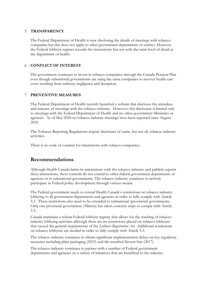#### 5. **TRANSPARENCY**

The Federal Department of Health is now disclosing the details of meetings with tobacco companies but this does not apply to other government departments or entities. However the Federal lobbyist register records the interactions but not with the same level of detail as the department of health.

#### 6. **CONFLICT OF INTEREST**

The government continues to invest in tobacco companies through the Canada Pension Plan even though subnational governments are suing the same companies to recover health care costs resulting from industry negligence and deception.

#### 7. **PREVENTIVE MEASURES**

The Federal Department of Health recently launched a website that discloses the attendees and minutes of meetings with the tobacco industry. However, this disclosure is limited only to meetings with the Federal Department of Health and no other government Ministries or agencies. As of May 2020 no tobacco industry meetings have been reported since August 2018.

The Tobacco Reporting Regulations require disclosure of some, but not all, tobacco industry activities.

There is no code of conduct for interactions with tobacco companies**.**

## **Recommendations**

Although Health Canada limits its interactions with the tobacco industry and publicly reports these interactions, these controls do not extend to other federal government departments or agencies or to subnational governments. The tobacco industry continues to actively participate in Federal policy development through various means.

The Federal government needs to extend Health Canada's restrictions on tobacco industry lobbying to all government departments and agencies in order to fully comply with Article 5.3. These restrictions also need to be extended to subnational (provincial) governments. Only one provincial government (Alberta) has taken concrete steps to comply with Article 5.3.

Canada maintains a robust Federal lobbyist registry that allows for the tracking of tobacco industry lobbying activities although there are no restrictions placed on tobacco lobbyists that exceed the general requirements of the *Lobbyist Registration Act*. Additional restrictions on tobacco lobbyists are needed in order to fully comply with Article 5.3.

The tobacco industry continues to obtain significant implementation delays on key regulatory measures including plain packaging (2019) and the menthol flavour ban (2017).

The tobacco industry continues to partner with a number of Federal government departments and agencies on a variety of initiatives that are beneficial to the industry.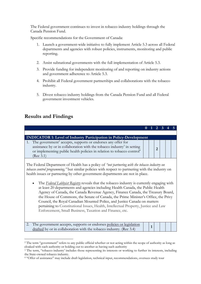The Federal government continues to invest in tobacco industry holdings through the Canada Pension Fund.

Specific recommendations for the Government of Canada:

- 1. Launch a government-wide initiative to fully implement Article 5.3 across all Federal departments and agencies with robust policies, instruments, monitoring and public reporting.
- 2. Assist subnational governments with the full implementation of Article 5.3.
- 3. Provide funding for independent monitoring of and reporting on industry actions and government adherence to Article 5.3.
- 4. Prohibit all Federal government partnerships and collaborations with the tobacco industry.
- 5. Divest tobacco industry holdings from the Canada Pension Fund and all Federal government investment vehicles.

# **Results and Findings**

| <b>INDICATOR 1: Level of Industry Participation in Policy-Development</b>                                                                                                                                                                                                                                                                                                                                                                                                                                                                                                                           |  |                |  |  |
|-----------------------------------------------------------------------------------------------------------------------------------------------------------------------------------------------------------------------------------------------------------------------------------------------------------------------------------------------------------------------------------------------------------------------------------------------------------------------------------------------------------------------------------------------------------------------------------------------------|--|----------------|--|--|
| 1. The government <sup>2</sup> accepts, supports or endorses any offer for<br>assistance by or in collaboration with the tobacco industry <sup>3</sup> in setting<br>or implementing public health policies in relation to tobacco control <sup>4</sup><br>(Rec 3.1)                                                                                                                                                                                                                                                                                                                                |  | $\overline{2}$ |  |  |
| The Federal Department of Health has a policy of "not partnering with the tobacco industry on<br>tobacco control programming," but similar policies with respect to partnering with the industry on<br>health issues or partnering by other government departments are not in place.                                                                                                                                                                                                                                                                                                                |  |                |  |  |
| The Federal Lobbyist Registry reveals that the tobacco industry is currently engaging with<br>$\bullet$<br>at least 20 departments and agencies including Health Canada, the Public Health<br>Agency of Canada, the Canada Revenue Agency, Finance Canada, the Treasury Board,<br>the House of Commons, the Senate of Canada, the Prime Minister's Office, the Privy<br>Council, the Royal Canadian Mounted Police, and Justice Canada on matters<br>pertaining to Constitutional Issues, Health, Intellectual Property, Justice and Law<br>Enforcement, Small Business, Taxation and Finance, etc. |  |                |  |  |

2. The government accepts, supports or endorses policies or legislation The government accepts, supports or endorses <u>poncies or legislation</u>  $\frac{1}{\tan \theta}$   $\left| \frac{1}{\tan \theta} \right|$  **1** 

<sup>&</sup>lt;sup>2</sup> The term "government" refers to any public official whether or not acting within the scope of authority as long as cloaked with such authority or holding out to another as having such authority

<sup>&</sup>lt;sup>3</sup> The term, "tobacco industry' includes those representing its interests or working to further its interests, including the State-owned tobacco industry.

<sup>4</sup> "Offer of assistance" may include draft legislation, technical input, recommendations, oversees study tour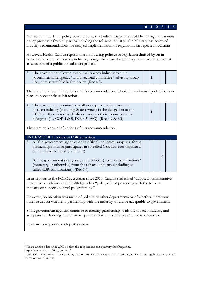No restrictions. In its policy consultations, the Federal Department of Health regularly invites policy proposals from all parties including the tobacco industry. The Ministry has accepted industry recommendations for delayed implementation of regulations on repeated occasions.

**0 1 2 3 4 5**

**3**

However, Health Canada reports that it not using policies or legislation drafted by on in consultation with the tobacco industry, though there may be some specific amendments that arise as part of a public consultation process.

3. The government allows/invites the tobacco industry to sit in government interagency/ multi-sectoral committee/ advisory group body that sets public health policy. (Rec 4.8) **1**

There are no known infractions of this recommendation. There are no known prohibitions in place to prevent these infractions.

| 4. The government nominates or allows representatives from the        |  |  |  |
|-----------------------------------------------------------------------|--|--|--|
| tobacco industry (including State-owned) in the delegation to the     |  |  |  |
| COP or other subsidiary bodies or accepts their sponsorship for       |  |  |  |
| delegates. (i.e. COP 4 & 5, INB 4 5, WG) <sup>5</sup> (Rec 4.9 & 8.3) |  |  |  |

There are no known infractions of this recommendation.

#### **INDICATOR 2: Industry CSR activities**

5. A. The government agencies or its officials endorses, supports, forms partnerships with or participates in so-called CSR activities organized by the tobacco industry. (Rec 6.2)

B. The government (its agencies and officials) receives contributions $<sup>6</sup>$ </sup> (monetary or otherwise) from the tobacco industry (including socalled CSR contributions). (Rec 6.4)

In its reports to the FCTC Secretariat since 2010, Canada said it had "adopted administrative measures" which included Health Canada's "policy of not partnering with the tobacco industry on tobacco control programming."

However, no mention was made of policies of other departments or of whether there were other issues on whether a partnership with the industry would be acceptable to government.

Some government agencies continue to identify partnerships with the tobacco industry and acceptance of funding. There are no prohibitions in place to prevent these violations.

Here are examples of such partnerships:

<sup>5</sup> Please annex a list since 2009 so that the respondent can quantify the frequency, http://www.who.int/fctc/cop/en/

<sup>&</sup>lt;sup>6</sup> political, social financial, educations, community, technical expertise or training to counter smuggling or any other forms of contributions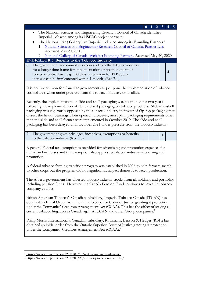| $\mathbf{3}$<br>2                                                                                                                                                                                                                                                                                                                                                                                                                                                                                                                                                      |
|------------------------------------------------------------------------------------------------------------------------------------------------------------------------------------------------------------------------------------------------------------------------------------------------------------------------------------------------------------------------------------------------------------------------------------------------------------------------------------------------------------------------------------------------------------------------|
| The National Sciences and Engineering Research Council of Canada identifies                                                                                                                                                                                                                                                                                                                                                                                                                                                                                            |
| Imperial Tobacco among its NSERC project partners. <sup>1</sup>                                                                                                                                                                                                                                                                                                                                                                                                                                                                                                        |
| The National (Art) Gallery lists Imperial Tobacco among its Founding Partners. <sup>2</sup>                                                                                                                                                                                                                                                                                                                                                                                                                                                                            |
| 1. Natural Sciences and Engineering Research Council of Canada. Partner List.                                                                                                                                                                                                                                                                                                                                                                                                                                                                                          |
| Accessed May 20, 2020.                                                                                                                                                                                                                                                                                                                                                                                                                                                                                                                                                 |
| 2. National Gallery of Canada. Website: Founding Partners. Accessed May 20, 2020                                                                                                                                                                                                                                                                                                                                                                                                                                                                                       |
| <b>INDICATOR 3: Benefits to the Tobacco Industry</b>                                                                                                                                                                                                                                                                                                                                                                                                                                                                                                                   |
| The government accommodates requests from the tobacco industry<br>6.                                                                                                                                                                                                                                                                                                                                                                                                                                                                                                   |
| for a longer time frame for implementation or postponement of                                                                                                                                                                                                                                                                                                                                                                                                                                                                                                          |
| $\overline{\mathbf{4}}$<br>tobacco control law. (e.g. 180 days is common for PHW, Tax                                                                                                                                                                                                                                                                                                                                                                                                                                                                                  |
| increase can be implemented within 1 month) (Rec 7.1)                                                                                                                                                                                                                                                                                                                                                                                                                                                                                                                  |
|                                                                                                                                                                                                                                                                                                                                                                                                                                                                                                                                                                        |
| It is not uncommon for Canadian governments to postpone the implementation of tobacco<br>control laws when under pressure from the tobacco industry or its allies.                                                                                                                                                                                                                                                                                                                                                                                                     |
| Recently, the implementation of slide-and-shell packaging was postponed for two years<br>following the implementation of standardized packaging on tobacco products. Slide-and-shell<br>packaging was vigorously opposed by the tobacco industry in favour of flip-top packaging that<br>dissect the health warnings when opened. However, most plain packaging requirements other<br>than the slide and shell format were implemented in October 2019. The slide-and-shell<br>packaging has been delayed until October 2021 under pressure from the tobacco industry. |
| 7. The government gives privileges, incentives, exemptions or benefits                                                                                                                                                                                                                                                                                                                                                                                                                                                                                                 |
| $\overline{\mathbf{3}}$<br>to the tobacco industry (Rec 7.3)                                                                                                                                                                                                                                                                                                                                                                                                                                                                                                           |
| A general Federal tax exemption is provided for advertising and promotion expenses for<br>Canadian businesses and this exemption also applies to tobacco industry advertising and<br>promotion.<br>A federal tobacco farming transition program was established in 2006 to help farmers switch<br>to other crops but the program did not significantly impact domestic tobacco production.                                                                                                                                                                             |
| The Alberta government has divested tobacco industry stocks from all holdings and portfolios<br>including pension funds. However, the Canada Pension Fund continues to invest in tobacco<br>company equities.                                                                                                                                                                                                                                                                                                                                                          |
| British American Tobacco's Canadian subsidiary, Imperial Tobacco Canada (ITCAN) has<br>obtained an Initial Order from the Ontario Superior Court of Justice granting it protection<br>under the Companies' Creditors Arrangement Act (CCAA). This has the effect of staying all<br>current tobacco litigation in Canada against ITCAN and other Group companies. <sup>7</sup>                                                                                                                                                                                          |
| Philip Morris International's Canadian subsidiary, Rothmans, Benson & Hedges (RBH) has<br>obtained an initial order from the Ontario Superior Court of Justice granting it protection<br>under the Companies' Creditors Arrangement Act (CCAA). <sup>8</sup>                                                                                                                                                                                                                                                                                                           |
|                                                                                                                                                                                                                                                                                                                                                                                                                                                                                                                                                                        |

<sup>7</sup> https://tobaccoreporter.com/2019/03/13/seeking-a-grand-settlement/

<sup>8</sup> https://tobaccoreporter.com/2019/03/25/creditor-protection-granted-2/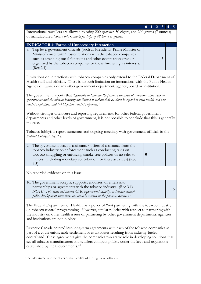| International travellers are allowed to bring 200 <i>cigarettes</i> , 50 cigars, and 200 grams (7 ounces)<br>of manufactured tobacco into Canada for trips of 48 hours or greater.                                                                                                              |          |  |   |   |
|-------------------------------------------------------------------------------------------------------------------------------------------------------------------------------------------------------------------------------------------------------------------------------------------------|----------|--|---|---|
|                                                                                                                                                                                                                                                                                                 |          |  |   |   |
| <b>INDICATOR 4: Forms of Unnecessary Interaction</b><br>Top level government officials (such as President/ Prime Minister or<br>8.                                                                                                                                                              |          |  |   |   |
| Minister <sup>9</sup> ) meet with/ foster relations with the tobacco companies<br>such as attending social functions and other events sponsored or<br>organized by the tobacco companies or those furthering its interests.<br>(Rec 2.1)                                                        |          |  | 3 |   |
| Limitations on interactions with tobacco companies only extend to the Federal Department of<br>Health staff and officials. There is no such limitation on interactions with the Public Health<br>Agency of Canada or any other government department, agency, board or institution.             |          |  |   |   |
| The government reports that "generally in Canada the primary channels of communication between<br>governments and the tobacco industry are limited to technical discussions in regard to both health and tax-<br>related regulations and (ii) litigation related responses."                    |          |  |   |   |
| Without stronger disclosure and reporting requirements for other federal government<br>departments and other levels of government, it is not possible to conclude that this is generally<br>the case.                                                                                           |          |  |   |   |
| Tobacco lobbyists report numerous and ongoing meetings with government officials in the<br>Federal Lobbyist Registry.                                                                                                                                                                           |          |  |   |   |
| The government accepts assistance/ offers of assistance from the<br>9.<br>tobacco industry on enforcement such as conducting raids on<br>tobacco smuggling or enforcing smoke free policies or no sales to<br>minors. (including monetary contribution for these activities) (Rec.<br>(4.3)     | $\bf{0}$ |  |   |   |
| No recorded evidence on this issue.                                                                                                                                                                                                                                                             |          |  |   |   |
| 10. The government accepts, supports, endorses, or enters into<br>partnerships or agreements with the tobacco industry. (Rec 3.1)<br>NOTE: This must not involve CSR, enforcement activity, or tobacco control<br>policy development since these are already covered in the previous questions. |          |  |   | 5 |
| The Federal Department of Health has a policy of "not partnering with the tobacco industry                                                                                                                                                                                                      |          |  |   |   |

on tobacco control programming. However, similar policies with respect to partnering with the industry on other health issues or partnering by other government departments, agencies and institutions are not in place.

Revenue Canada entered into long-term agreements with each of the tobacco companies as part of a court-enforceable settlement over tax losses resulting from industry-fueled contraband. These agreements give the companies "an active role in developing solutions that see all tobacco manufacturers and retailers competing fairly under the laws and regulations established by the Governments."1

<sup>9</sup> Includes immediate members of the families of the high-level officials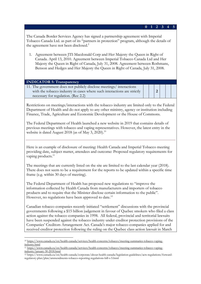#### **0 1 2 3 4 5**

**2**

The Canada Border Services Agency has signed a partnership agreement with Imperial Tobacco Canada Ltd. as part of its "partners in protection" program, although the details of the agreement have not been disclosed.<sup>2</sup>

1. Agreement between JTI-Macdonald Corp and Her Majesty the Queen in Right of Canada. April 13, 2010. Agreement between Imperial Tobacco Canada Ltd and Her Majesty the Queen in Right of Canada, July 31, 2008. Agreement between Rothmans, Benson and Hedges and Her Majesty the Queen in Right of Canada, July 31, 2008.

#### **INDICATOR 5: Transparency**

11. The government does not publicly disclose meetings/ interactions with the tobacco industry in cases where such interactions are strictly necessary for regulation. (Rec 2.2)

Restrictions on meetings/interactions with the tobacco industry are limited only to the Federal Department of Health and do not apply to any other ministry, agency or institution including Finance, Trade, Agriculture and Economic Development or the House of Commons.

The Federal Department of Health launched a new website in 2019 that contains details of previous meetings with tobacco and vaping representatives. However, the latest entry in the website is dated August 2018 (as of May 3, 2020).<sup>10</sup>

Here is an example of disclosure of meeting: Health Canada and Imperial Tobacco meeting providing date, subject matter, attendees and outcome: Proposed regulatory requirements for vaping products.<sup>11</sup>

The meetings that are currently listed on the site are limited to the last calendar year (2018). There does not seem to be a requirement for the reports to be updated within a specific time frame (e.g. within 30 days of meeting).

The Federal Department of Health has proposed new regulations to "improve the information collected by Health Canada from manufacturers and importers of tobacco products and to require that the Minister disclose certain information to the public". However, no regulations have been approved to date.<sup>12</sup>

Canadian tobacco companies recently initiated "settlement" discussions with the provincial governments following a \$15 billion judgement in favour of Quebec smokers who filed a class action against the tobacco companies in 1998. All federal, provincial and territorial lawsuits have been suspended against the tobacco industry under creditor protection provisions of the Companies' Creditors Arrangement Act. Canada's major tobacco companies applied for and received creditor protection following the ruling on the Quebec class action lawsuit in March

<sup>10</sup> https://www.canada.ca/en/health-canada/services/health-concerns/tobacco/meeting-summaries-tobacco-vapingindustry.html

<sup>11</sup> https://www.canada.ca/en/health-canada/services/health-concerns/tobacco/meeting-summaries-tobacco-vapingindustry/january-30-2018.html

<sup>12</sup> https://www.canada.ca/en/health-canada/corporate/about-health-canada/legislation-guidelines/acts-regulations/forwardregulatory-plan/plan/ammendments-tobacco-reporting-regulations-bill-s-5.html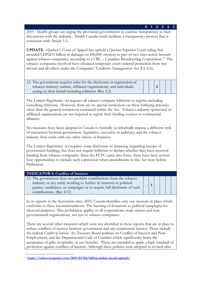2019. Health groups are urging the provincial governments to exercise transparency in their discussions with the industry. Health Canada could facilitate a transparency process that is consistent with Article 5.3.

**0 1 2 3 4 5**

**1**

**UPDATE**: Quebec's Court of Appeal has upheld a Quebec Superior Court ruling that awarded CDN\$15 billion in damages to 100,000 smokers as part of two class-action lawsuits against tobacco companies, according to a CBC – Canadian Broadcasting Corporation.<sup>13</sup> The tobacco companies involved have obtained temporary court-ordered protection from this lawsuit and all others under the Companies' Creditors Arrangement Act (CCAA).

| 12. The government requires rules for the disclosure or registration of |  |  |  |
|-------------------------------------------------------------------------|--|--|--|
| tobacco industry entities, affiliated organizations, and individuals    |  |  |  |
| acting on their behalf including lobbyists (Rec 5.3)                    |  |  |  |

The *Lobbyist Registration Act* requires all tobacco company lobbyists to register including consulting lobbyists. However, there are no special restrictions on these lobbying activities other than the general restrictions contained within the Act. Tobacco-industry sponsored or affiliated organizations are not required to report their funding sources or commercial alliances.

No measures have been adopted in Canada to formally or informally impose a different style of interaction between government (legislative, executive or judiciary) and the tobacco industry than exists with any other citizen or business.

The *Lobbyist Registration Act* requires some disclosure of financing (regarding receipt of government funding), but does not require lobbyists to declare whether they have received funding from tobacco companies. Since the FCTC came into force, there have been at least four opportunities to include such a provision when amendments to this Act were before Parliament.

### **INDICATOR 6: Conflict of Interest**

13. The government does not prohibit contributions from the tobacco industry or any entity working to further its interests to political parties, candidates, or campaigns or to require full disclosure of such contributions. (Rec 4.11)

In its reports to the Secretariat since 2010, Canada identifies only one measure in place which conforms to these recommendations: The banning of donations to political campaigns for electoral purposes. This prohibition applies to all corporations, trade unions and nongovernmental organizations, not just to tobacco companies.

There are several other measures which were not identified in these reports that are in place to reduce conflicts of interest between government and any commercial interest. These include the federal *Conflict of Interest Act*, Treasury Board policies on Conflict of Interest and Post-Employment, and the Departmental Code of Conduct which significantly limits the acceptance of gifts, hospitality or any benefits. These are intended to apply a high standard of protection against conflicts of interest. Although these policies were adopted or revised after

<sup>13</sup> **https://tobaccoreporter.com/2019/03/04/billion-dollar-award-upheld/**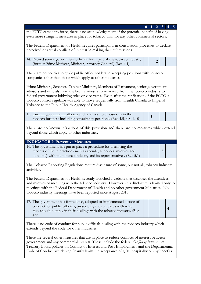|                                                                                                                                                                                                                                                                                                                                                                                                                              | 0 | 1            | 2              | $\mathbf{3}$ | 5 |
|------------------------------------------------------------------------------------------------------------------------------------------------------------------------------------------------------------------------------------------------------------------------------------------------------------------------------------------------------------------------------------------------------------------------------|---|--------------|----------------|--------------|---|
| the FCTC came into force, there is no acknowledgement of the potential benefit of having<br>even more stringent measures in place for tobacco than for any other commercial sectors.                                                                                                                                                                                                                                         |   |              |                |              |   |
| The Federal Department of Health requires participants in consultation processes to declare<br>perceived or actual conflicts of interest in making their submissions.                                                                                                                                                                                                                                                        |   |              |                |              |   |
| 14. Retired senior government officials form part of the tobacco industry<br>(former Prime Minister, Minister, Attorney General) (Rec 4.4)                                                                                                                                                                                                                                                                                   |   |              | $\overline{2}$ |              |   |
| There are no policies to guide public office holders in accepting positions with tobacco<br>companies other than those which apply to other industries.                                                                                                                                                                                                                                                                      |   |              |                |              |   |
| Prime Ministers, Senators, Cabinet Ministers, Members of Parliament, senior government<br>advisors and officials from the health ministry have moved from the tobacco industry to<br>federal government lobbying roles or vice-versa. Even after the ratification of the FCTC, a<br>tobacco control regulator was able to move sequentially from Health Canada to Imperial<br>Tobacco to the Public Health Agency of Canada. |   |              |                |              |   |
| 15. Current government officials and relatives hold positions in the<br>tobacco business including consultancy positions. (Rec 4.5, 4.8, 4.10)                                                                                                                                                                                                                                                                               |   | $\mathbf{1}$ |                |              |   |
| There are no known infractions of this provision and there are no measures which extend<br>beyond those which apply to other industries.                                                                                                                                                                                                                                                                                     |   |              |                |              |   |
| <b>INDICATOR 7: Preventive Measures</b>                                                                                                                                                                                                                                                                                                                                                                                      |   |              |                |              |   |
| 16. The government has put in place a procedure for disclosing the<br>records of the interaction (such as agenda, attendees, minutes and<br>outcome) with the tobacco industry and its representatives. (Rec 5.1)                                                                                                                                                                                                            |   |              |                | 3            |   |
| The Tobacco Reporting Regulations require disclosure of some, but not all, tobacco industry<br>activities.                                                                                                                                                                                                                                                                                                                   |   |              |                |              |   |
| The Federal Department of Health recently launched a website that discloses the attendees<br>and minutes of meetings with the tobacco industry. However, this disclosure is limited only to<br>meetings with the Federal Department of Health and no other government Ministries. No<br>tobacco industry meetings have been reported since August 2018.                                                                      |   |              |                |              |   |
| 17. The government has formulated, adopted or implemented a code of<br>conduct for public officials, prescribing the standards with which<br>they should comply in their dealings with the tobacco industry. (Rec<br>(4.2)                                                                                                                                                                                                   |   |              |                | 4            |   |
| There is no code of conduct for public officials dealing with the tobacco industry which<br>extends beyond the code for other industries.                                                                                                                                                                                                                                                                                    |   |              |                |              |   |
| There are several other measures that are in place to reduce conflicts of interest between<br>d any commongial interest. These include the foderal Centlist of Interest Ast                                                                                                                                                                                                                                                  |   |              |                |              |   |

government and any commercial interest. These include the federal *Conflict of Interest Act*, Treasury Board policies on Conflict of Interest and Post-Employment, and the Departmental Code of Conduct which significantly limits the acceptance of gifts, hospitality or any benefits.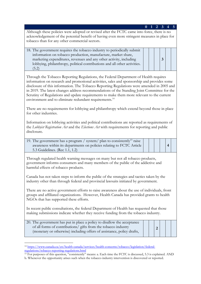## **0 1 2 3 4 5** Although these policies were adopted or revised after the FCTC came into force, there is no acknowledgement of the potential benefit of having even more stringent measures in place for tobacco than for any other commercial sectors.  $18.8$  The government requires the top government requires the top government

**3**

**4**

| TO. THE government requires the topaced muustry to periodically submit    |  |
|---------------------------------------------------------------------------|--|
| information on tobacco production, manufacture, market share,             |  |
| marketing expenditures, revenues and any other activity, including        |  |
| lobbying, philanthropy, political contributions and all other activities. |  |
| (5.2)                                                                     |  |

Through the Tobacco Reporting Regulations, the Federal Department of Health requires information on research and promotional activities, sales and sponsorship and provides some disclosure of this information. The Tobacco Reporting Regulations were amended in 2005 and in 2019. The latest changes address recommendations of the Standing Joint Committee for the Scrutiny of Regulations and update requirements to make them more relevant to the current environment and to eliminate redundant requirements.<sup>14</sup>

There are no requirements for lobbying and philanthropy which extend beyond those in place for other industries.

Information on lobbying activities and political contributions are reported as requirements of the *Lobbyist Registration Act* and the *Elections Act* with requirements for reporting and public disclosure.

| 19. The government has a program / system/ plan to consistently <sup>15</sup> raise |
|-------------------------------------------------------------------------------------|
| awareness within its departments on policies relating to FCTC Article               |
| 5.3 Guidelines. (Rec 1.1, 1.2)                                                      |

Through regulated health warning messages on many but not all tobacco products, government informs consumers and many members of the public of the addictive and harmful effects of tobacco products.

Canada has not taken steps to inform the public of the strategies and tactics taken by the industry other than through federal and provincial lawsuits initiated by government.

There are no active government efforts to raise awareness about the use of individuals, front groups and affiliated organizations. However, Health Canada has provided grants to health NGOs that has supported these efforts.

In recent public consultations, the federal Department of Health has requested that those making submissions indicate whether they receive funding from the tobacco industry.

| 20. The government has put in place a policy to disallow the acceptance<br>of all forms of contributions/ gifts from the tobacco industry<br>(monetary or otherwise) including offers of assistance, policy drafts, |
|---------------------------------------------------------------------------------------------------------------------------------------------------------------------------------------------------------------------|
|                                                                                                                                                                                                                     |

<sup>14</sup> https://www.canada.ca/en/health-canada/services/health-concerns/tobacco/legislation/federalregulations/tobacco-reporting-regulations.html

- <sup>15</sup> For purposes of this question, "consistently" means: a. Each time the FCTC is discussed, 5.3 is explained. AND
- b. Whenever the opportunity arises such when the tobacco industry intervention is discovered or reported.